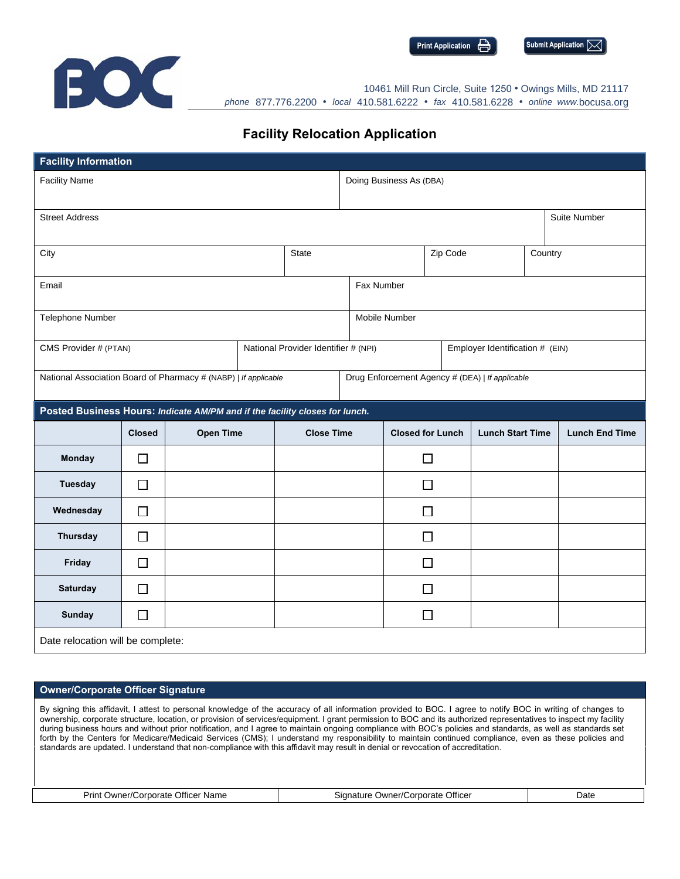

**Print Application Submit Application**  $\triangleright$ 



10461 Mill Run Circle, Suite 1250 • Owings Mills, MD 21117 *phone* 877.776.2200 • *local* 410.581.6222 • *fax* 410.581.6228 • *online www.*bocusa.org

## **Facility Relocation Application**

| <b>Facility Information</b>                                                 |               |                  |  |                   |                                                 |  |                         |                         |  |                       |  |
|-----------------------------------------------------------------------------|---------------|------------------|--|-------------------|-------------------------------------------------|--|-------------------------|-------------------------|--|-----------------------|--|
| <b>Facility Name</b>                                                        |               |                  |  |                   | Doing Business As (DBA)                         |  |                         |                         |  |                       |  |
| <b>Street Address</b>                                                       |               |                  |  |                   | Suite Number                                    |  |                         |                         |  |                       |  |
|                                                                             |               |                  |  |                   |                                                 |  |                         |                         |  |                       |  |
| City                                                                        |               |                  |  | <b>State</b>      |                                                 |  | Zip Code                |                         |  | Country               |  |
| Email                                                                       |               |                  |  |                   | Fax Number                                      |  |                         |                         |  |                       |  |
|                                                                             |               |                  |  |                   |                                                 |  |                         |                         |  |                       |  |
| Telephone Number                                                            |               |                  |  |                   | Mobile Number                                   |  |                         |                         |  |                       |  |
| CMS Provider # (PTAN)<br>National Provider Identifier # (NPI)               |               |                  |  |                   | Employer Identification # (EIN)                 |  |                         |                         |  |                       |  |
| National Association Board of Pharmacy # (NABP)   If applicable             |               |                  |  |                   | Drug Enforcement Agency # (DEA)   If applicable |  |                         |                         |  |                       |  |
| Posted Business Hours: Indicate AM/PM and if the facility closes for lunch. |               |                  |  |                   |                                                 |  |                         |                         |  |                       |  |
|                                                                             |               |                  |  |                   |                                                 |  |                         |                         |  |                       |  |
|                                                                             | <b>Closed</b> | <b>Open Time</b> |  | <b>Close Time</b> |                                                 |  | <b>Closed for Lunch</b> | <b>Lunch Start Time</b> |  | <b>Lunch End Time</b> |  |
| Monday                                                                      | $\Box$        |                  |  |                   |                                                 |  | $\Box$                  |                         |  |                       |  |
| <b>Tuesday</b>                                                              | $\Box$        |                  |  |                   |                                                 |  | $\Box$                  |                         |  |                       |  |
| Wednesday                                                                   | $\Box$        |                  |  |                   |                                                 |  | □                       |                         |  |                       |  |
| <b>Thursday</b>                                                             | □             |                  |  |                   |                                                 |  | $\Box$                  |                         |  |                       |  |
| Friday                                                                      | $\Box$        |                  |  |                   |                                                 |  | □                       |                         |  |                       |  |
| <b>Saturday</b>                                                             | $\Box$        |                  |  |                   |                                                 |  | $\Box$                  |                         |  |                       |  |
| <b>Sunday</b>                                                               | $\Box$        |                  |  |                   |                                                 |  | $\Box$                  |                         |  |                       |  |

## **Owner/Corporate Officer Signature**

By signing this affidavit, I attest to personal knowledge of the accuracy of all information provided to BOC. I agree to notify BOC in writing of changes to ownership, corporate structure, location, or provision of services/equipment. I grant permission to BOC and its authorized representatives to inspect my facility during business hours and without prior notification, and I agree to maintain ongoing compliance with BOC's policies and standards, as well as standards set forth by the Centers for Medicare/Medicaid Services (CMS); I understand my responsibility to maintain continued compliance, even as these policies and standards are updated. I understand that non-compliance with this affidavit may result in denial or revocation of accreditation.

Print Owner/Corporate Officer Name **Signature Owner/Corporate Officer** Date